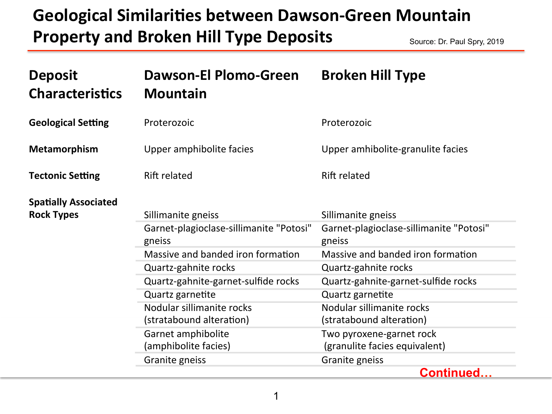## **Geological Similarities between Dawson-Green Mountain Property and Broken Hill Type Deposits** Source: Dr. Paul Spry, 2019

| <b>Deposit</b><br><b>Characteristics</b>         | <b>Dawson-El Plomo-Green</b><br><b>Mountain</b>               | <b>Broken Hill Type</b>                                       |
|--------------------------------------------------|---------------------------------------------------------------|---------------------------------------------------------------|
| <b>Geological Setting</b>                        | Proterozoic                                                   | Proterozoic                                                   |
| <b>Metamorphism</b>                              | Upper amphibolite facies                                      | Upper amhibolite-granulite facies                             |
| <b>Tectonic Setting</b>                          | <b>Rift related</b>                                           | <b>Rift related</b>                                           |
| <b>Spatially Associated</b><br><b>Rock Types</b> | Sillimanite gneiss<br>Garnet-plagioclase-sillimanite "Potosi" | Sillimanite gneiss<br>Garnet-plagioclase-sillimanite "Potosi" |
|                                                  | gneiss                                                        | gneiss                                                        |
|                                                  | Massive and banded iron formation                             | Massive and banded iron formation                             |
|                                                  | Quartz-gahnite rocks                                          | Quartz-gahnite rocks                                          |
|                                                  | Quartz-gahnite-garnet-sulfide rocks                           | Quartz-gahnite-garnet-sulfide rocks                           |
|                                                  | Quartz garnetite                                              | Quartz garnetite                                              |
|                                                  | Nodular sillimanite rocks                                     | Nodular sillimanite rocks                                     |
|                                                  | (stratabound alteration)                                      | (stratabound alteration)                                      |
|                                                  | Garnet amphibolite                                            | Two pyroxene-garnet rock                                      |
|                                                  | (amphibolite facies)                                          | (granulite facies equivalent)                                 |
|                                                  | Granite gneiss                                                | Granite gneiss                                                |
|                                                  |                                                               | <b>Continued</b>                                              |